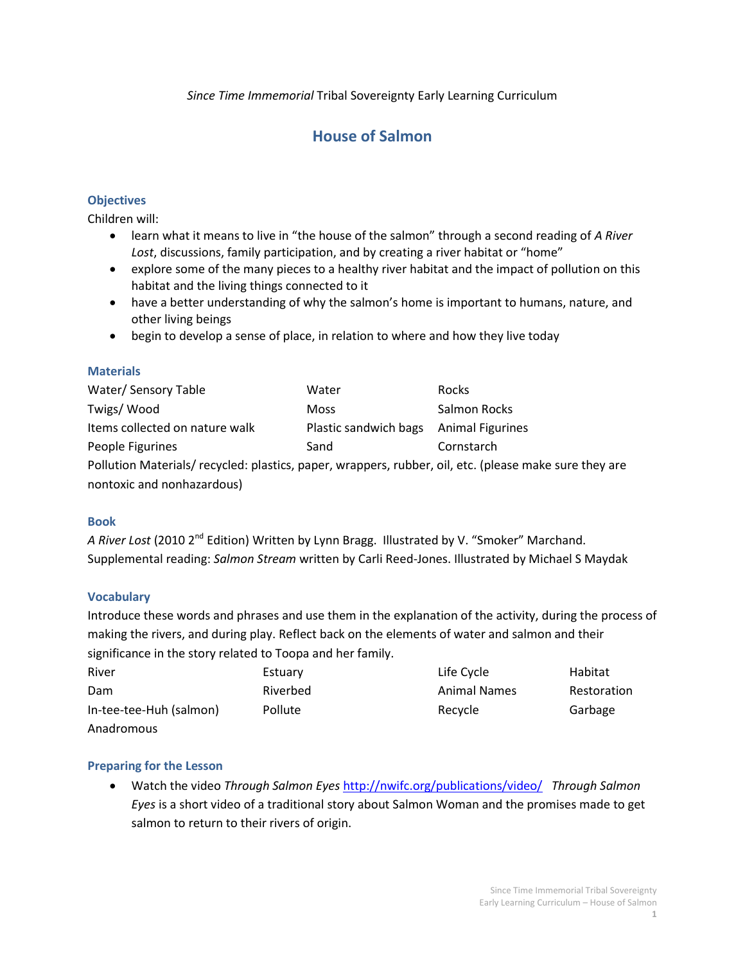*Since Time Immemorial* Tribal Sovereignty Early Learning Curriculum

# **House of Salmon**

### **Objectives**

Children will:

- learn what it means to live in "the house of the salmon" through a second reading of *A River Lost*, discussions, family participation, and by creating a river habitat or "home"
- explore some of the many pieces to a healthy river habitat and the impact of pollution on this habitat and the living things connected to it
- have a better understanding of why the salmon's home is important to humans, nature, and other living beings
- begin to develop a sense of place, in relation to where and how they live today

### **Materials**

| Water/Sensory Table                                                                                   | Water                 | Rocks                   |
|-------------------------------------------------------------------------------------------------------|-----------------------|-------------------------|
| Twigs/Wood                                                                                            | <b>Moss</b>           | Salmon Rocks            |
| Items collected on nature walk                                                                        | Plastic sandwich bags | <b>Animal Figurines</b> |
| People Figurines                                                                                      | Sand                  | Cornstarch              |
| Pollution Materials/recycled: plastics, paper, wrappers, rubber, oil, etc. (please make sure they are |                       |                         |
| nontoxic and nonhazardous)                                                                            |                       |                         |

#### **Book**

A River Lost (2010 2<sup>nd</sup> Edition) Written by Lynn Bragg. Illustrated by V. "Smoker" Marchand. Supplemental reading: *Salmon Stream* written by Carli Reed-Jones. Illustrated by Michael S Maydak

#### **Vocabulary**

Introduce these words and phrases and use them in the explanation of the activity, during the process of making the rivers, and during play. Reflect back on the elements of water and salmon and their significance in the story related to Toopa and her family.

| River                   | Estuary  | Life Cycle          | Habitat     |
|-------------------------|----------|---------------------|-------------|
| Dam                     | Riverbed | <b>Animal Names</b> | Restoration |
| In-tee-tee-Huh (salmon) | Pollute  | Recycle             | Garbage     |
| Anadromous              |          |                     |             |

#### **Preparing for the Lesson**

 Watch the video *Through Salmon Eyes* <http://nwifc.org/publications/video/>*Through Salmon Eyes* is a short video of a traditional story about Salmon Woman and the promises made to get salmon to return to their rivers of origin.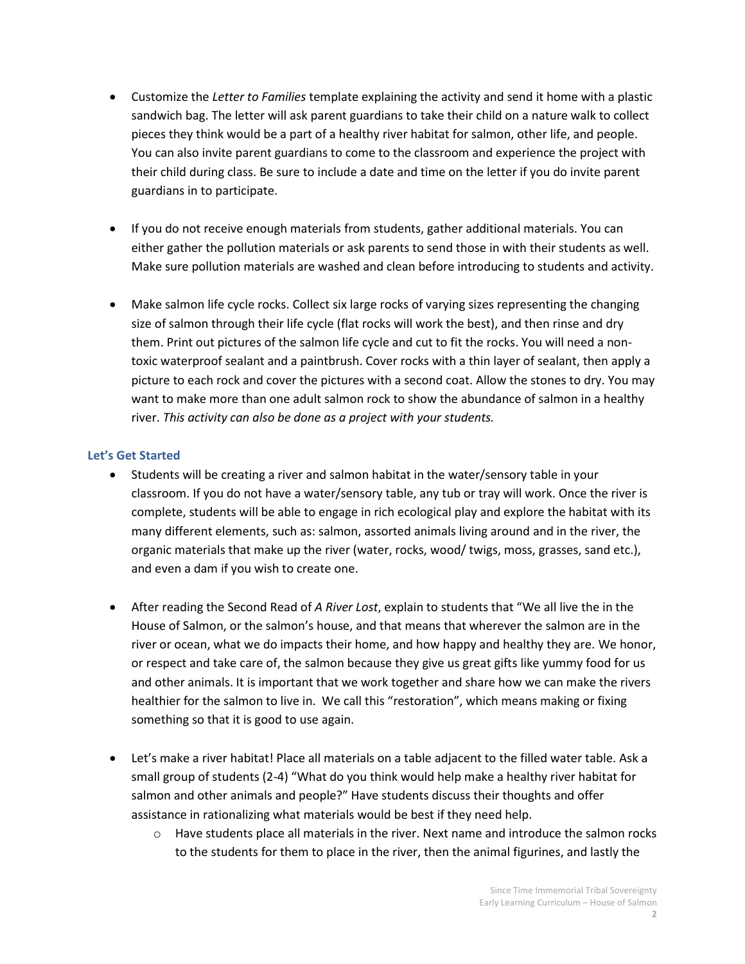- Customize the *Letter to Families* template explaining the activity and send it home with a plastic sandwich bag. The letter will ask parent guardians to take their child on a nature walk to collect pieces they think would be a part of a healthy river habitat for salmon, other life, and people. You can also invite parent guardians to come to the classroom and experience the project with their child during class. Be sure to include a date and time on the letter if you do invite parent guardians in to participate.
- If you do not receive enough materials from students, gather additional materials. You can either gather the pollution materials or ask parents to send those in with their students as well. Make sure pollution materials are washed and clean before introducing to students and activity.
- Make salmon life cycle rocks. Collect six large rocks of varying sizes representing the changing size of salmon through their life cycle (flat rocks will work the best), and then rinse and dry them. Print out pictures of the salmon life cycle and cut to fit the rocks. You will need a nontoxic waterproof sealant and a paintbrush. Cover rocks with a thin layer of sealant, then apply a picture to each rock and cover the pictures with a second coat. Allow the stones to dry. You may want to make more than one adult salmon rock to show the abundance of salmon in a healthy river. *This activity can also be done as a project with your students.*

### **Let's Get Started**

- Students will be creating a river and salmon habitat in the water/sensory table in your classroom. If you do not have a water/sensory table, any tub or tray will work. Once the river is complete, students will be able to engage in rich ecological play and explore the habitat with its many different elements, such as: salmon, assorted animals living around and in the river, the organic materials that make up the river (water, rocks, wood/ twigs, moss, grasses, sand etc.), and even a dam if you wish to create one.
- After reading the Second Read of *A River Lost*, explain to students that "We all live the in the House of Salmon, or the salmon's house, and that means that wherever the salmon are in the river or ocean, what we do impacts their home, and how happy and healthy they are. We honor, or respect and take care of, the salmon because they give us great gifts like yummy food for us and other animals. It is important that we work together and share how we can make the rivers healthier for the salmon to live in. We call this "restoration", which means making or fixing something so that it is good to use again.
- Let's make a river habitat! Place all materials on a table adjacent to the filled water table. Ask a small group of students (2-4) "What do you think would help make a healthy river habitat for salmon and other animals and people?" Have students discuss their thoughts and offer assistance in rationalizing what materials would be best if they need help.
	- $\circ$  Have students place all materials in the river. Next name and introduce the salmon rocks to the students for them to place in the river, then the animal figurines, and lastly the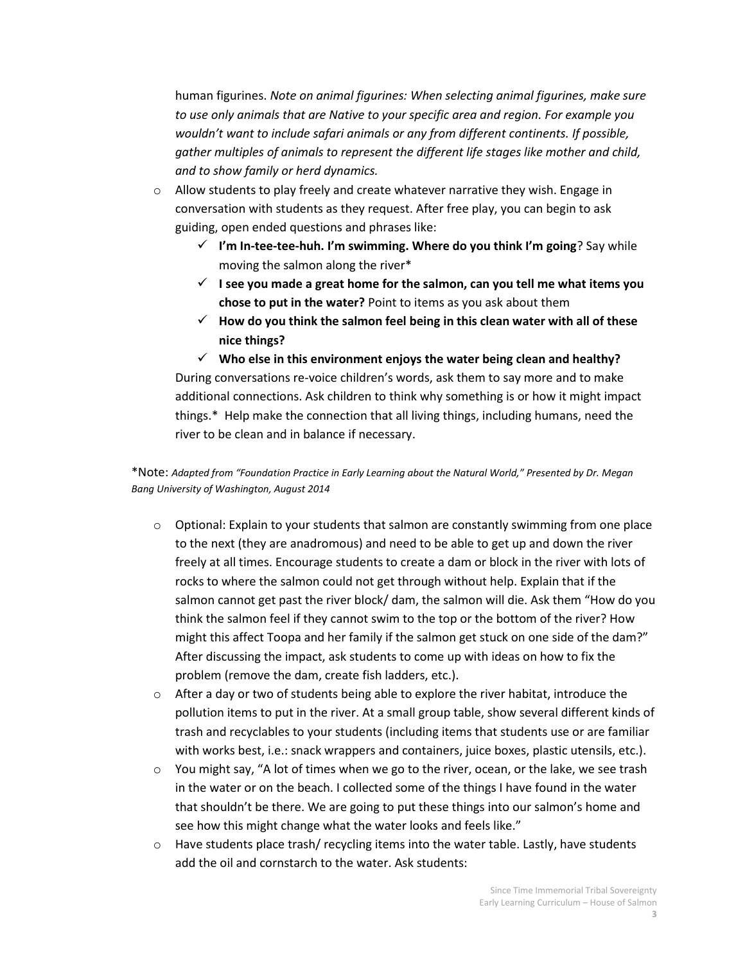human figurines. *Note on animal figurines: When selecting animal figurines, make sure to use only animals that are Native to your specific area and region. For example you wouldn't want to include safari animals or any from different continents. If possible, gather multiples of animals to represent the different life stages like mother and child, and to show family or herd dynamics.*

- $\circ$  Allow students to play freely and create whatever narrative they wish. Engage in conversation with students as they request. After free play, you can begin to ask guiding, open ended questions and phrases like:
	- **I'm In-tee-tee-huh. I'm swimming. Where do you think I'm going**? Say while moving the salmon along the river\*
	- $\checkmark$  I see you made a great home for the salmon, can you tell me what items you **chose to put in the water?** Point to items as you ask about them
	- **How do you think the salmon feel being in this clean water with all of these nice things?**

 **Who else in this environment enjoys the water being clean and healthy?** During conversations re-voice children's words, ask them to say more and to make additional connections. Ask children to think why something is or how it might impact things.\* Help make the connection that all living things, including humans, need the river to be clean and in balance if necessary.

### \*Note: *Adapted from "Foundation Practice in Early Learning about the Natural World," Presented by Dr. Megan Bang University of Washington, August 2014*

- $\circ$  Optional: Explain to your students that salmon are constantly swimming from one place to the next (they are anadromous) and need to be able to get up and down the river freely at all times. Encourage students to create a dam or block in the river with lots of rocks to where the salmon could not get through without help. Explain that if the salmon cannot get past the river block/ dam, the salmon will die. Ask them "How do you think the salmon feel if they cannot swim to the top or the bottom of the river? How might this affect Toopa and her family if the salmon get stuck on one side of the dam?" After discussing the impact, ask students to come up with ideas on how to fix the problem (remove the dam, create fish ladders, etc.).
- $\circ$  After a day or two of students being able to explore the river habitat, introduce the pollution items to put in the river. At a small group table, show several different kinds of trash and recyclables to your students (including items that students use or are familiar with works best, i.e.: snack wrappers and containers, juice boxes, plastic utensils, etc.).
- $\circ$  You might say, "A lot of times when we go to the river, ocean, or the lake, we see trash in the water or on the beach. I collected some of the things I have found in the water that shouldn't be there. We are going to put these things into our salmon's home and see how this might change what the water looks and feels like."
- $\circ$  Have students place trash/ recycling items into the water table. Lastly, have students add the oil and cornstarch to the water. Ask students: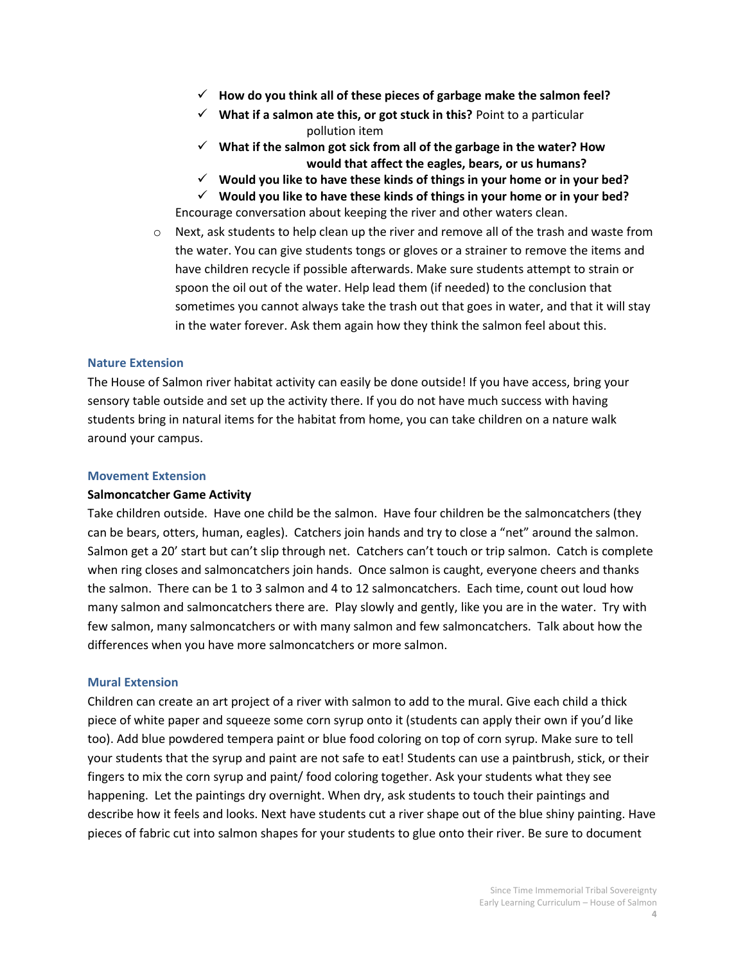- **How do you think all of these pieces of garbage make the salmon feel?**
- **What if a salmon ate this, or got stuck in this?** Point to a particular pollution item
- **What if the salmon got sick from all of the garbage in the water? How would that affect the eagles, bears, or us humans?**
- **Would you like to have these kinds of things in your home or in your bed?**

 **Would you like to have these kinds of things in your home or in your bed?** Encourage conversation about keeping the river and other waters clean.

 $\circ$  Next, ask students to help clean up the river and remove all of the trash and waste from the water. You can give students tongs or gloves or a strainer to remove the items and have children recycle if possible afterwards. Make sure students attempt to strain or spoon the oil out of the water. Help lead them (if needed) to the conclusion that sometimes you cannot always take the trash out that goes in water, and that it will stay in the water forever. Ask them again how they think the salmon feel about this.

#### **Nature Extension**

The House of Salmon river habitat activity can easily be done outside! If you have access, bring your sensory table outside and set up the activity there. If you do not have much success with having students bring in natural items for the habitat from home, you can take children on a nature walk around your campus.

#### **Movement Extension**

#### **Salmoncatcher Game Activity**

Take children outside. Have one child be the salmon. Have four children be the salmoncatchers (they can be bears, otters, human, eagles). Catchers join hands and try to close a "net" around the salmon. Salmon get a 20' start but can't slip through net. Catchers can't touch or trip salmon. Catch is complete when ring closes and salmoncatchers join hands. Once salmon is caught, everyone cheers and thanks the salmon. There can be 1 to 3 salmon and 4 to 12 salmoncatchers. Each time, count out loud how many salmon and salmoncatchers there are. Play slowly and gently, like you are in the water. Try with few salmon, many salmoncatchers or with many salmon and few salmoncatchers. Talk about how the differences when you have more salmoncatchers or more salmon.

#### **Mural Extension**

Children can create an art project of a river with salmon to add to the mural. Give each child a thick piece of white paper and squeeze some corn syrup onto it (students can apply their own if you'd like too). Add blue powdered tempera paint or blue food coloring on top of corn syrup. Make sure to tell your students that the syrup and paint are not safe to eat! Students can use a paintbrush, stick, or their fingers to mix the corn syrup and paint/ food coloring together. Ask your students what they see happening. Let the paintings dry overnight. When dry, ask students to touch their paintings and describe how it feels and looks. Next have students cut a river shape out of the blue shiny painting. Have pieces of fabric cut into salmon shapes for your students to glue onto their river. Be sure to document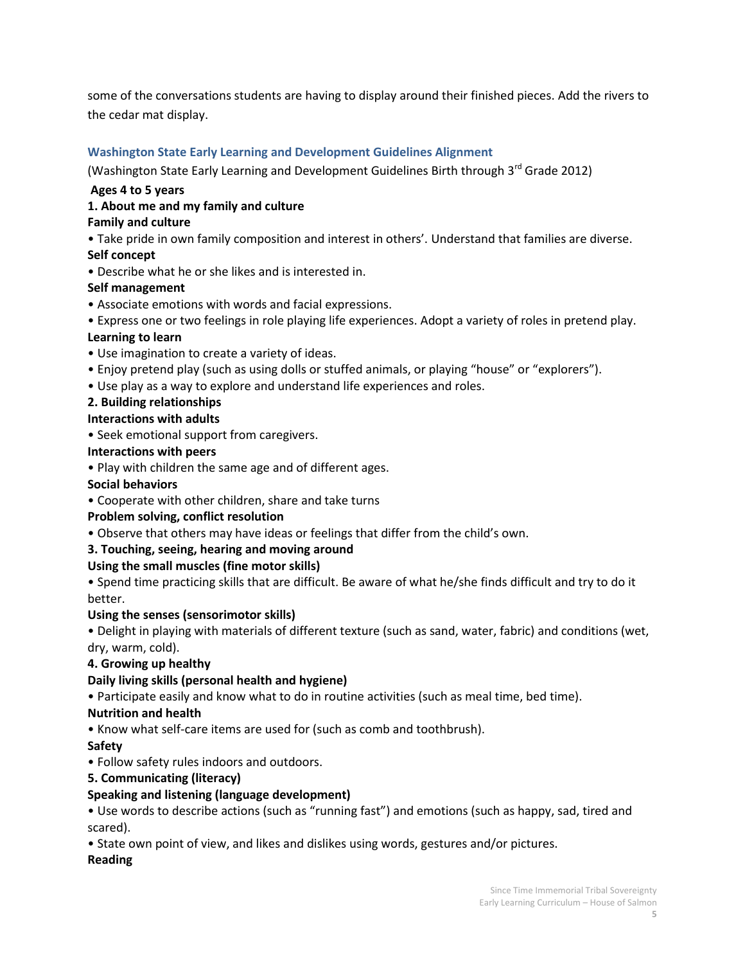some of the conversations students are having to display around their finished pieces. Add the rivers to the cedar mat display.

## **Washington State Early Learning and Development Guidelines Alignment**

(Washington State Early Learning and Development Guidelines Birth through 3<sup>rd</sup> Grade 2012)

### **Ages 4 to 5 years**

### **1. About me and my family and culture**

#### **Family and culture**

• Take pride in own family composition and interest in others'. Understand that families are diverse.

### **Self concept**

• Describe what he or she likes and is interested in.

### **Self management**

- Associate emotions with words and facial expressions.
- Express one or two feelings in role playing life experiences. Adopt a variety of roles in pretend play.

### **Learning to learn**

- Use imagination to create a variety of ideas.
- Enjoy pretend play (such as using dolls or stuffed animals, or playing "house" or "explorers").
- Use play as a way to explore and understand life experiences and roles.

# **2. Building relationships**

### **Interactions with adults**

• Seek emotional support from caregivers.

### **Interactions with peers**

• Play with children the same age and of different ages.

#### **Social behaviors**

• Cooperate with other children, share and take turns

### **Problem solving, conflict resolution**

• Observe that others may have ideas or feelings that differ from the child's own.

### **3. Touching, seeing, hearing and moving around**

### **Using the small muscles (fine motor skills)**

• Spend time practicing skills that are difficult. Be aware of what he/she finds difficult and try to do it better.

#### **Using the senses (sensorimotor skills)**

• Delight in playing with materials of different texture (such as sand, water, fabric) and conditions (wet, dry, warm, cold).

### **4. Growing up healthy**

### **Daily living skills (personal health and hygiene)**

• Participate easily and know what to do in routine activities (such as meal time, bed time).

### **Nutrition and health**

• Know what self-care items are used for (such as comb and toothbrush).

### **Safety**

• Follow safety rules indoors and outdoors.

### **5. Communicating (literacy)**

### **Speaking and listening (language development)**

• Use words to describe actions (such as "running fast") and emotions (such as happy, sad, tired and scared).

• State own point of view, and likes and dislikes using words, gestures and/or pictures.

#### **Reading**